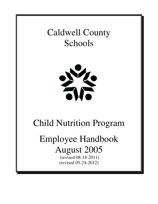# Caldwell County Schools



# Child Nutrition Program

# Employee Handbook August 2005

 (revised 08-18-2011) (revised 05-24-2012)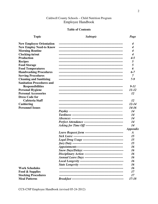# Caldwell County Schools - Child Nutrition Program Employee Handbook

#### **Table of Contents**

# **Topic**

**Subtopic** 

Page

| <b>New Employee Orientation</b>  | $\boldsymbol{4}$ |
|----------------------------------|------------------|
| <b>New Employ Need-to Know</b>   | 4                |
| <b>Morning Routine</b>           | 4                |
| Clocking-in/out                  | $\boldsymbol{4}$ |
| <b>Production</b>                | $4 - 5$          |
| <b>Recipes</b>                   | 5                |
| <b>Food Storage</b>              | 5                |
| <b>Food Temperatures</b>         | 6                |
| <b>Handwashing Procedures</b>    | $6 - 7$          |
| <b>Serving Procedures</b>        | 7                |
| <b>Cleaning and Sanitizing</b>   | $7 - 9$          |
| <b>Sanitation Procedures and</b> |                  |
| <b>Responsibilities</b>          | $9 - 11$         |
| <b>Personal Hygiene</b>          | $11 - 12$        |
| <b>Personal Accessories</b>      | 12               |
| <b>Dress Code for</b>            |                  |
| <b>Cafeteria Staff</b>           | 12               |
| Cashiering                       | $12 - 14$        |
| <b>Personnel Issues</b>          | $14 - 16$        |
|                                  | 14               |
|                                  | 14               |
|                                  | 14               |
|                                  | 14               |
|                                  | 14               |
|                                  | <b>Appendix</b>  |
|                                  | $\boldsymbol{A}$ |
|                                  | 15               |
|                                  | 15               |
|                                  | 15               |
|                                  | 16               |
|                                  | 16               |
|                                  | 16               |
|                                  | 16               |
|                                  | 16               |
|                                  | 16               |
| <b>Work Schedules</b>            | 16               |
| <b>Food &amp; Supplies</b>       | 17               |
| <b>Stocking Procedures</b>       | 17               |
| <b>Meal Patterns</b>             | $17 - 18$        |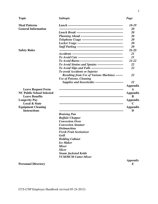| <b>Topic</b>                     | <b>Subtopic</b>                                                 | Page                   |
|----------------------------------|-----------------------------------------------------------------|------------------------|
| <b>Meal Patterns</b>             |                                                                 | 18-19                  |
| <b>General Information</b>       |                                                                 | 20                     |
|                                  |                                                                 | 20                     |
|                                  |                                                                 | 20                     |
|                                  |                                                                 | 20                     |
|                                  |                                                                 | 20<br>20               |
|                                  |                                                                 | $21 - 22$              |
| <b>Safety Rules</b>              |                                                                 | 21                     |
|                                  |                                                                 | 21                     |
|                                  |                                                                 | $21 - 22$              |
|                                  | To Avoid Strains and Sprains -------------------------          | 22                     |
|                                  | <b>To Avoid Slips and Falls -------------------------------</b> | 22                     |
|                                  | <b>To avoid Accidents or Injuries</b>                           |                        |
|                                  | <b>Resulting from Use of Various Machines ------</b>            | 22                     |
|                                  | <b>Use of Poisons, Cleaning</b>                                 |                        |
|                                  | Supplies and Insecticides ---------------------------           | 22                     |
|                                  |                                                                 | Appendix               |
| <b>Leave Request Form</b>        |                                                                 | A                      |
| <b>NC Public School Selected</b> |                                                                 | <b>Appendix</b>        |
| <b>Leave Benefits</b>            |                                                                 | B                      |
| <b>Longevity Pay</b>             |                                                                 | <b>Appendix</b>        |
| <b>Local &amp; State</b>         |                                                                 | C                      |
| <b>Equipment Cleaning</b>        |                                                                 | <b>Appendix</b>        |
| <b>Instructions</b>              |                                                                 | D                      |
|                                  | <b>Braising Pan</b>                                             |                        |
|                                  | <b>Buffalo Chopper</b>                                          |                        |
|                                  | <b>Convection Oven</b>                                          |                        |
|                                  | <b>Convection Steamer</b>                                       |                        |
|                                  | <b>Dishmachine</b>                                              |                        |
|                                  | <b>Fresh Fruit Sectionizer</b>                                  |                        |
|                                  | <b>Grill</b>                                                    |                        |
|                                  | <b>Holding Cabinet</b>                                          |                        |
|                                  | <b>Ice Maker</b>                                                |                        |
|                                  | <b>Mixer</b>                                                    |                        |
|                                  | <b>Slicer</b>                                                   |                        |
|                                  | <b>Steam Jacketed Kettle</b>                                    |                        |
|                                  | <b>VCM/HCM Cutter-Mixer</b>                                     |                        |
|                                  |                                                                 | <i><b>Appendix</b></i> |

**Personnel Directory** 

CCS-CNP Employee Handbook (revised 05-24-2012)

*E*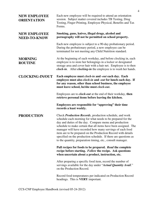| <b>NEW EMPLOYEE</b><br><b>ORIENTATION</b>  | Each new employee will be required to attend an orientation<br>session. Subject matter covered includes TB Testing, Drug<br>Testing, Finger Printing, Employee Physical, Benefits and Tax<br>Forms.                                                                                                                                                                                                                                                                                                                 |
|--------------------------------------------|---------------------------------------------------------------------------------------------------------------------------------------------------------------------------------------------------------------------------------------------------------------------------------------------------------------------------------------------------------------------------------------------------------------------------------------------------------------------------------------------------------------------|
| <b>NEW EMPLOYEE</b><br><b>NEED-TO-KNOW</b> | Smoking, guns, knives, illegal drugs, alcohol and<br>pornography will not be permitted on school property.                                                                                                                                                                                                                                                                                                                                                                                                          |
|                                            | Each new employee is subject to a 90-day probationary period.<br>During the probationary period, a new employee can be<br>terminated for not meeting any Child Nutrition standard.                                                                                                                                                                                                                                                                                                                                  |
| <b>MORNING</b><br><b>ROUTINE</b>           | At the beginning of each workday, and before clocking in, each<br>employee is to store her belongings in a locker or designated<br>storage area and cover hair with a hair net. Employee is to then<br>clock-in. After clocking-in the employee is to wash her hands.                                                                                                                                                                                                                                               |
| <b>CLOCKING-IN/OUT</b>                     | Each employee must <i>clock-in</i> and <i>-out</i> each day. Each<br>employee must also <i>clock-in</i> and <i>-out</i> for lunch each day. If<br>for any reason, other than school business, the employee<br>must leave school, he/she must clock-out.                                                                                                                                                                                                                                                             |
|                                            | Employees are to <i>clock-out</i> at the end of their workday, then<br>retrieve personal items before leaving the kitchen.                                                                                                                                                                                                                                                                                                                                                                                          |
|                                            | Employees are responsible for "approving" their time<br>records a least weekly.                                                                                                                                                                                                                                                                                                                                                                                                                                     |
| <b>PRODUCTION</b>                          | Check Production Records, production schedule, and work<br>schedule each morning for what needs to be prepared for the<br>day and duties of the day. Compare menu and production<br>schedule to make certain that all items have been assigned. The<br>manager will have recorded how many servings of each food<br>item are to be prepared on the Production Record with details<br>specified on the production schedule. If there are questions as<br>to the quantity, preparation timing, etc., consult manager. |
|                                            | Pull recipes for foods to be prepared. Read the complete<br>recipe before starting. Follow the recipe. Ask questions<br>when uncertain about a product, instruction, etc.                                                                                                                                                                                                                                                                                                                                           |
|                                            | After preparing a specific food item, record the number of<br>servings available for the day under "Actual Quantity Avail."<br>on the Production Record.                                                                                                                                                                                                                                                                                                                                                            |
|                                            | Record food temperatures per indicated on Production Record<br>headings. This is <b>VERY</b> important.                                                                                                                                                                                                                                                                                                                                                                                                             |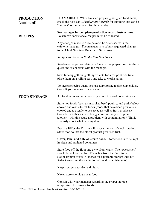| <b>PRODUCTION</b><br>(continued)               | <b>PLAN AHEAD:</b> When finished preparing assigned food items,<br>check the next day's <b>Production Records</b> for anything that can be<br>"laid out" or preprepared for the next day.                                                                                                                                                                               |
|------------------------------------------------|-------------------------------------------------------------------------------------------------------------------------------------------------------------------------------------------------------------------------------------------------------------------------------------------------------------------------------------------------------------------------|
| <b>RECIPES</b>                                 | See manager for complete production record instructions.<br>To achieve consistency, recipes must be followed.                                                                                                                                                                                                                                                           |
|                                                | Any changes made to a recipe must be discussed with the<br>cafeteria manager. The manager is to submit requested changes<br>to the Child Nutrition Director or Supervisor.                                                                                                                                                                                              |
|                                                | Recipes are found in <i>Production Notebooks</i> .                                                                                                                                                                                                                                                                                                                      |
|                                                | Read over recipe completely before starting preparation. Address<br>questions or concerns with the manager.                                                                                                                                                                                                                                                             |
|                                                | Save time by gathering all ingredients for a recipe at one time,<br>place them on a rolling cart, and take to work station.                                                                                                                                                                                                                                             |
|                                                | To increase recipe quantities, use appropriate recipe conversions.<br>Consult your manager for assistance.                                                                                                                                                                                                                                                              |
| <b>FOOD STORAGE</b>                            | All food items are to be properly stored to avoid contamination.                                                                                                                                                                                                                                                                                                        |
|                                                | Store raw foods (such as uncooked beef, poultry, and pork) below<br>cooked and ready-to-eat foods (foods that have been previously<br>cooked and are ready to be served as well as fresh produce.)<br>Consider whether an item being stored is likely to drip onto<br>anotherwill this cause a problem with contamination? Think<br>seriously about what is being done. |
|                                                | Practice FIFO, the First In – First Out method of stock rotation.<br>Store food so that the oldest product gets used first.                                                                                                                                                                                                                                             |
|                                                | Cover, label and date all stored food. Stored food is to be kept<br>in clean and sanitized containers.                                                                                                                                                                                                                                                                  |
|                                                | Store food off the floor and away from walls. The lowest shelf<br>should be at least twelve (12) inches from the floor for a<br>stationary unit or six (6) inches for a portable storage unit. (NC<br>Rules Governing the Sanitation of Food Establishments)                                                                                                            |
|                                                | Keep storage areas dry and clean.                                                                                                                                                                                                                                                                                                                                       |
|                                                | Never store chemicals near food.                                                                                                                                                                                                                                                                                                                                        |
|                                                | Consult with your manager regarding the proper storage<br>temperature for various foods.                                                                                                                                                                                                                                                                                |
| CCS-CNP Employee Handbook (revised 05-24-2012) |                                                                                                                                                                                                                                                                                                                                                                         |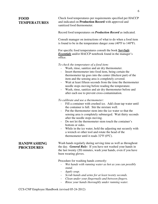# **FOOD TEMPERATURES**

Check food temperatures per requirements specified per HACCP and indicated on **Production Record** with approved and sanitized food thermometer.

Record food temperatures on *Production Record* as indicated.

Consult manager on instructions of what to do when a food item is found to be in the temperature danger zone (40°F to 140°F).

For specific food temperatures consult the book *ServSafe Essentials* and/or HACCP notebook found in the manager's office.

#### *To check the temperature of a food item:*

- Wash, rinse, sanitize and air dry thermometer.
- Insert thermometer into food item, being certain the thermometer tip goes into the center (thickest part) of the item and the sensing area is completely covered.
- Wait at least fifteen seconds from the time the thermometer needle stops moving before reading the temperature.
- Wash, rinse, sanitize and air dry thermometer before and after each use to prevent cross-contamination.

#### *To calibrate and use a thermometer:*

- Fill a container with crushed ice. Add clean tap water until the container is full. Stir the mixture well.
- Put the thermometer stem into the ice water so that the sensing area is completely submerged. Wait thirty seconds after the needle stops moving.
- Do not let the thermometer stem touch the container's bottom or sides.
- While in the ice water, hold the adjusting nut securely with a wrench or other tool and rotate the head of the thermometer until it reads  $32^{\circ}F(0^{\circ}C)$ .

Wash hands regularly during serving time as well as throughout the day. *General Rule:* If you have not washed your hands in the last twenty (20) minutes, wash your hands, even if you have been wearing gloves.

Procedure for washing hands correctly:

- Wet hands with running water as hot as you can possibly *stand.*
- *Apply soap.*
- *Scrub hands and arms for at least twenty seconds.*
- *Clean under your fingernails and between fingers.*
- *Rinse your hands thoroughly under running water.*

# **HANDWASHING PROCEDURES**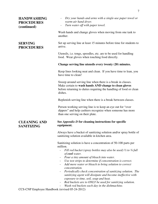| <b>HANDWASHING</b><br><b>PROCEDURES</b><br>(continued) | Dry your hands and arms with a single-use paper towel or<br>warm-air hand dryer.<br>Turn water off with paper towel.<br>$\overline{\phantom{a}}$                                                                                                                                                                                                                                                                                                                                                                                                                                                                                                                                                                                 |
|--------------------------------------------------------|----------------------------------------------------------------------------------------------------------------------------------------------------------------------------------------------------------------------------------------------------------------------------------------------------------------------------------------------------------------------------------------------------------------------------------------------------------------------------------------------------------------------------------------------------------------------------------------------------------------------------------------------------------------------------------------------------------------------------------|
|                                                        | Wash hands and change gloves when moving from one task to<br>another.                                                                                                                                                                                                                                                                                                                                                                                                                                                                                                                                                                                                                                                            |
| <b>SERVING</b><br><b>PROCEDURES</b>                    | Set up serving line at least 15 minutes before time for students to<br>arrive.                                                                                                                                                                                                                                                                                                                                                                                                                                                                                                                                                                                                                                                   |
|                                                        | Utensils, i.e. tongs, spoodles, etc. are to be used for handling<br>food. Wear gloves when touching food directly.                                                                                                                                                                                                                                                                                                                                                                                                                                                                                                                                                                                                               |
|                                                        | Change serving line utensils every twenty (20) minutes.                                                                                                                                                                                                                                                                                                                                                                                                                                                                                                                                                                                                                                                                          |
|                                                        | Keep lines looking neat and clean. If you have time to lean, you<br>have time to clean!                                                                                                                                                                                                                                                                                                                                                                                                                                                                                                                                                                                                                                          |
|                                                        | Sweep around serving line when there is a break in classes.<br>Make certain to wash hands AND change to clean gloves<br>before returning to duties requiring the handling of food or clean<br>dishes.                                                                                                                                                                                                                                                                                                                                                                                                                                                                                                                            |
|                                                        | Replenish serving line when there is a break between classes.                                                                                                                                                                                                                                                                                                                                                                                                                                                                                                                                                                                                                                                                    |
|                                                        | Person working serving line is to keep an eye out for "over"<br>dippers" and help cashiers recognize when someone has more<br>than one serving on their plate.                                                                                                                                                                                                                                                                                                                                                                                                                                                                                                                                                                   |
| <b>CLEANING AND</b><br><b>SANITIZING</b>               | See <i>Appendix D</i> for cleaning instructions for specific<br>equipment.                                                                                                                                                                                                                                                                                                                                                                                                                                                                                                                                                                                                                                                       |
|                                                        | Always have a bucket of sanitizing solution and/or spray bottle of<br>sanitizing solution available in kitchen area.                                                                                                                                                                                                                                                                                                                                                                                                                                                                                                                                                                                                             |
|                                                        | Sanitizing solution is have a concentration of 50-100 parts per<br>million.<br>Fill red bucket (spray bottles may also be used) $\frac{1}{2}$ to $\frac{3}{4}$ full<br>$\overline{\phantom{0}}$<br>of <b>cool</b> water.<br>Pour a tiny amount of bleach into water.<br>$\overline{\phantom{a}}$<br>Use test strips to determine if concentration is correct.<br>Add more water or bleach to bring solution to correct<br>$\blacksquare$<br>concentration.<br>Periodically check concentration of sanitizing solution. The<br>$\overline{\phantom{a}}$<br>sanitizing agent will dissipate and become ineffective with<br>exposure to time, soil, soap and heat.<br>Red buckets are to ONLY be used for sanitizing solution.<br>- |

- *Wash red buckets each day in the dishmachine.*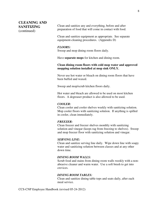# **CLEANING AND SANITIZING**  (continued)

Clean and sanitize any and everything, before and after preparation of food that will come in contact with food.

Clean and sanitize equipment as appropriate. See separate equipment-cleaning procedures. (Appendix D)

#### *FLOORS:*

Sweep and mop dining room floors daily.

Have **separate mops** for kitchen and dining room.

#### **Clean dining room floors with cold mop water and approved mopping solution installed at mop sink ONLY.**

Never use hot water or bleach on dining room floors that have been buffed and waxed.

Sweep and mop/scrub kitchen floors daily.

Hot water and bleach are allowed to be used on most kitchen floors. A degreaser product is also allowed to be used.

#### *COOLER:*

Clean cooler and cooler shelves weekly with sanitizing solution. Mop cooler floors with sanitizing solution. If anything is spilled in cooler, clean immediately.

#### *FREEZER:*

Clean freezer and freezer shelves monthly with sanitizing solution and vinegar (keeps rag from freezing to shelves). Sweep and mop freezer floor with sanitizing solution and vinegar.

#### *SERVING LINE:*

Clean and sanitize serving line daily. Wipe down line with soapy water and sanitizing solution between classes and at any other down time.

#### *DINING ROOM WALLS:*

Scrub food and stains from dining room walls weekly with a nonabrasive cleaner and warm water. Use a soft brush to get into crevices.

#### *DINING ROOM TABLES:*

Clean and sanitize dining table tops and seats daily, after each meal service.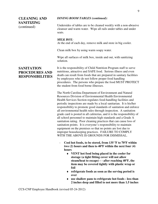# **CLEANING AND SANITIZING**  (continued)

# **SANITATION PROCEDURES AND RESPONSIBILITIES**

#### *DINING ROOM TABLES (continued):*

Undersides of tables are to be cleaned weekly with a non-abrasive cleanser and warm water. Wipe all rails under tables and under seats.

#### *MILK BOX:*

At the end of each day, remove milk and store in big cooler.

Clean milk box by using warm soapy water.

Wipe all surfaces of milk box, inside and out, with sanitizing solution.

It is the responsibility of Child Nutrition Program staff to serve nutritious, attractive and SAFE food. Serious illness and even death can result from foods that are prepared in sanitary facilities by employees who do not follow proper food handling procedures. The persons who prepare the food MUST PROTECT the student from food borne illnesses.

The North Carolina Department of Environment and Natural Resources Division of Environmental Health Environmental Health Services Section regulates food-handling facilities and periodic inspections are made by a local sanitarian. It is his/her responsibility to promote good standards of sanitation and enforce all environmental health rules through inspection. A sanitation grade card is posted in all cafeterias, and it is the responsibility of all school personnel to maintain high standards and a Grade A sanitation rating. Poor cleaning practices that can cause loss of sanitation points. It is everyone's responsibility to maintain equipment on the premises so that no points are lost due to improper housekeeping practices. FAILURE TO COMPLY WITH THE ABOVE IS GROUNDS FOR DISMISSAL.

- **Cool hot foods, to be stored, from 135 ºF to 70ºF within two (2) hours and then to 40ºF within the next four (4) hours** 
	- ♦ **VENT hot food being placed in the cooler for storage (a tight fitting cover will not allow steam/heat to escape) - - after reaching 40ºF, the item may be covered tightly with plastic wrap or foil**
	- ♦ **refrigerate foods as soon as the serving period is over**
	- ♦ **use shallow pans to refrigerate hot foods less than 2 inches deep and filled to not more than 1.5 inches**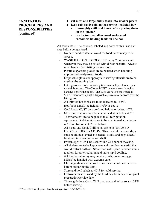# **SANITATION PROCEDURES AND RESPONSIBILITIES**  (continued)

- ♦ **cut meat and large bulky foods into smaller pieces**
- ♦ **keep cold foods cold on the serving line/salad bar** 
	- **thoroughly chill cold items before placing them on the line/bar**
	- use ice to cover all exposed surfaces of **containers holding foods on line/bar**

All foods MUST be covered, labeled and dated with a "use by" date before being stored.

- No bare hand contact allowed for food items ready to be served.
- WASH HANDS THOROUGHLY every 20 minutes and whenever they may be soiled with dirt or bacteria. Always wash hands after visiting the restroom.
- Plastic disposable gloves are to be used when handling unprotected ready-to-eat foods.
- Disposable gloves or appropriate serving utensils are to be used on the serving line.
- Latex gloves are to be worn any time an employee has an open wound, burn, etc. The Gloves MUST be worn even though a bandage covers the injury. The latex glove is to be treated as "skin," therefore; a plastic disposable glove may be worn over the latex glove.
- All leftover hot foods are to be reheated to 165°F.
- Hot foods MUST be held at 140°F or above.
- Cold foods MUST be stored and held at or below  $40^{\circ}$ F.
- Milk temperatures must be maintained at or below 40°F.
- Thermometers are to be placed in all refrigeration equipment. Refrigerators are to be maintained at or below 40°F and freezers at 0°F or below.
- All meats and Cook Chill items are to be THAWED UNDER REFRIGERATION. This may take several days and should be planned as needed. Meats and eggs MUST be stored in a pan on bottom shelf.
- Frozen eggs MUST be used within 24 hours of thawing.
- All shelves are to be kept clean and free from material that would restrict airflow. Store food with space between items to allow for air circulation and more rapid cooling.
- All foods containing mayonnaise, milk, cream or eggs MUST be handled with extreme care.
- Chill ingredients to be used in recipes for cold menu items before preparing the item.
- Store and hold salads at 40°F for cold service.
- Leftovers must be used by the third day from day of original preparation/service date.
- Thoroughly heat Cook Chill products and leftovers to 165°F before serving.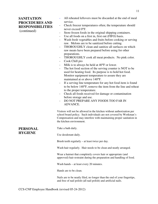# **SANITATION PROCEDURES AND RESPONSIBILITIES**

(continued)

- All reheated leftovers must be discarded at the end of meal service.
- Check freezer temperatures often; the temperature should never exceed 0°F.
- Store frozen foods in the original shipping containers.
- Use all foods on a first in, first out (FIFO) basis.
- Wash fresh vegetables and fruits before cooking or serving raw. Melons are to be sanitized before cutting.
- THOROUGHLY clean and sanitize all surfaces on which raw meats have been prepared before using for other preparations.
- THOROUGHLY cook all meat products. No pink color.
- Cook Chill pro
- Milk is to always be held at  $40^{\circ}$ F or lower.
- The hot food section of the serving counter is NOT to be used for heating food. Its purpose is to hold hot food. Monitor equipment temperature to assure they are maintained at or above 140°F.
- If a serving line temperature for any hot food item is found to be below 140°F, remove the item from the line and reheat to the proper temperature.
- Check all foods received for damage or contamination before storage and use.
- DO NOT PREPARE ANY FOODS TOO FAR IN ADVANCE.

Visitors will not be allowed in the kitchen without authorization per school board policy. Such individuals are not covered by Workman's Compensation and may interfere with maintaining proper sanitation in the kitchen environment.

# **PERSONAL HYGIENE**

Take a bath daily.

Use deodorant daily.

Brush teeth regularly – at least twice per day.

Wash hair regularly. Hair needs to be clean and neatly arranged.

Wear a hairnet that completely covers hair or appropriate (and approved) hair restraint during the preparation and handling of food.

Wash hands – at least every 20 minutes.

Hands are to be clean.

Nails are to be neatly filed, no longer than the end of your fingertips, and free of nail polish (all nail polish) and artificial nails.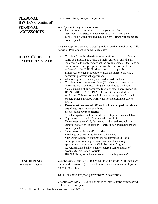# **PERSONAL HYGIENE** (continued) **PERSONAL ACCESSORIES**

# **DRESS CODE FOR CAFETERIA STAFF**

Do not wear strong colognes or perfumes.

#### *Jewelry is to be kept to a minimum:*

- Earrings no larger than the tip of your little finger.
- Necklaces, bracelets, wristwatches, etc. not acceptable.
- $Rings$  plain wedding band may be worn rings with stones are not acceptable.

\*\*Name tags (that are safe to wear) provided by the school or the Child Nutrition Program are to be worn each day.

- Clothing for each cafeteria is to be "uniform." Each cafeteria staff, as a group, is to decide on their "uniform" and all staff members are to conform to what the group decides. Questions or concerns as to the appropriateness of the decision are to be addressed to the Child Nutrition director or supervisor. Employees of each school are to dress the same to provide a consistent professional appearance.
- All clothing is to be clean, neat, and wrinkle and stain free.
- Clothing must have at least three (3) inches of garment ease. Garments are to be loose fitting and not cling to the body.
- Slacks must be of uniform type fabric or other approved fabric. JEANS ARE UNACCEPTABLE except for non-student workdays. Thin t-shirt type knits are not acceptable for slacks.
- Undergarments must be worn, with no undergarment colors visible.
- **Knees must be covered. When in a kneeling position, shorts and skirts must touch the floor.**
- Sleeves must cover underarms.
- Sweater type tops and thin white t-shirt tops are unacceptable.
- Tops must cover midriff and waistline at all times.
- Shoes must be nonskid, flat heeled, and closed toed with an upper of solid vinyl or leather. Fabric or perforated uppers are not acceptable.
- Shoes must be clean and/or polished.
- Stockings or socks are to be worn with shoes.
- Shirts with writing or pictures are not permitted unless all employees are wearing the same shirt and the message appropriately represents the Child Nutrition Program. Advertisements, business names, church names, names of groups, etc. are not appropriate.
- DO NOT bring valuables to work, - including money!

Cashiers are to sign on to the Meals Plus program with their own name and password. (See attachment for instructions on logging on to Meals Plus.)

DO NOT share assigned password with coworkers.

Cashiers are **NEVER** to use another cashier's name or password to log on to the system.

CCS-CNP Employee Handbook (revised 05-24-2012)

#### **CASHIERING (Revised 10-17-2008)**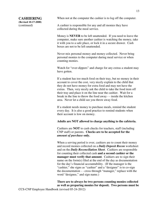# **CASHIERING**

**(Revised 10-17-2008)**  (continued)

When not at the computer the cashier is to log off the computer.

A cashier is responsible for any and all monies they have collected during the meal service.

Money is **NEVER** to be left unattended. If you need to leave the computer, make sure another cashier is watching the money, take it with you to a safe place, or lock it in a secure drawer. Cash boxes are not to be left unattended.

Never mix personal money and money collected. Never bring personal monies to the computer during meal service or when counting monies.

Watch for "over-dippers" and charge for any extras a student may have gotten.

If a student has too much food on their tray, but no money in their account to cover the cost, very nicely explain to the child that they do not have money for extra food and may not have the extras. Then, very nicely ask the child to take the food item off their tray and place it on the line near the cashier. Wait for a break in the line to throw the food away - - inside the kitchen area. Never let a child see you throw away food.

If a student needs money to purchase meals, remind the student every day. It is also a good practice to remind students when their account is low on money.

#### **Adults are NOT allowed to charge anything to the cafeteria.**

Cashiers are **NOT** to cash checks for teachers, staff (including CNP staff) or parents. **Checks are to be accepted for the**  *amount of purchase* **only.** 

When a serving period is over, cashiers are to count their money and record monies collected on a *Daily Deposit Recon* worksheet and on the *Daily Reconciliation Sheet*. Cashiers are responsible for counting their collected cash **and a second cashier or the manager must verify that amount**. Cashiers are to sign their name on the form(s) filed at the end of the day as documentation for the day's financial accountability. (If the manager is the "cashier," she signs as "cashier" and a "designee" is to co-sign the documentation - - cross through "manager," replace with the word "designee," and sign name.)

**There are to always be two persons counting monies collected as well as preparing monies for deposit. Two persons must be**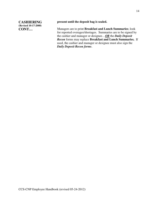**CASHIERING (Revised 10-17-2008) CONT…**

**present until the deposit bag is sealed.** 

Managers are to print **Breakfast and Lunch Summaries**; look for reported overages/shortages. Summaries are to be signed by the cashier and manager or designee…*OR* the *Daily Deposit Recon* forms may replace **Breakfast and Lunch Summaries.** If used, the cashier and manager or designee must also sign the *Daily Deposit Recon forms*.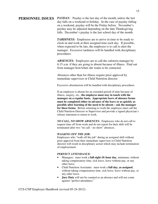**PERSONNEL ISSUES** *PAYDAY:* Payday is the last day of the month, unless the last day falls on a weekend or holiday. In the case of payday falling on a weekend, payday will be the Friday before. November's payday may be adjusted depending on the date Thanksgiving falls. December's payday is the last school day of the month.

> *TARDINESS:* Employees are to arrive in time to be ready to clock-in and work at their assigned time each day. If possible, when expected to be late, the employee is to call to alert the manager. Excessive tardiness will be handled with disciplinary procedures.

ABSENCES: Employees are to call the cafeteria manager by 6:15 a.m. if they are going to absent because of illness. Find out from manager how/when she wants to be contacted.

Absences other than for illness require prior approval by immediate supervisor or Child Nutrition director.

Excessive absenteeism will be handled with disciplinary procedures.

If an employee is absent for an extended period of time because of illness, surgery, etc., **the employee must stay in touch with the manager on a regular basis. Appropriate leave of absence forms must be completed either in advance of the leave or as quickly as possible after learning of the need to be absent – ask the manager for these forms.** Before returning to work the employee must call the Child Nutrition Director or Supervisor and provide a signed physician's release statement to return to work.

*NO CALL, NO SHOW ABSENCES:* Employees who do not call to request time off from work and do not report for their shift will be terminated after two "no call – no show" absences.

#### *WALKING OFF THE JOB:*

Employees who "walk off the job" during an assigned shift without prior approval from their immediate supervisor or Child Nutrition director will result in disciplinary action which may include termination of employement.

#### *PERFECT ATTENDANCE:*

- Managers: must work a **full eight (8) hour day**, minimum, without taking compensatory time, sick leave, leave without pay, or any other leave.
- Child Nutrition Assistants: must work a **full day, as assigned**, without taking compensatory time, sick leave, leave without pay, or any other leave.
- **Jury Duty** will not be counted as an absence and will not count against "perfect attendance."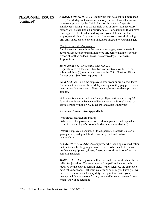# **PERSONNEL ISSUES**

(continued)

*ASKING FOR TIME OFF:* Employees that have missed more than five (5) work days in the current school year must have all absence requests approved by the Child Nutrition Director or Supervisor. Employees wishing to be off for field trips or other "non necessary" reasons will be handled on a priority basis. For example: If you have been approved to attend a field trip with your child and another employee calls in sick, you may be asked to work instead of taking off. Any questions or concerns should be directed to your manager.

#### *One (1) or two (2) day request:*

Employees must submit to the cafeteria manager, two (2) weeks in advance, a request for permission to be off, before taking off for any reason other than sudden illness (one or two days.) **See form, Appendix A.**

#### *More than two (2) consecutive days request:*

Requests to be off for more than two consecutive days MUST be submitted three (3) weeks in advance to the Child Nutrition Director for approval. **See form, Appendix A.**

*SICK LEAVE:* Full-time employees who work or are on paid leave for one-half or more of the workdays in any monthly pay period earn one (1) sick day per month. Part-time employees receive a pro rata amount.

Sick leave is accumulated indefinitely. Upon retirement, every 20 days of sick leave on balance, will count as an additional month of service credit with the N.C. Teachers' and State Employees'

Retirement System. **See Appendix B.**

#### **Definition: Immediate Family**

**Sick Leave:** Employee's spouse, children, parents, and dependents living in the employee's household (includes step-relations.)

**Death:** Employee's spouse, children, parents, brother(s), sister(s), grandparents, and grandchildren and step, half and in-law relationships.

*LEGAL DRUG USAGE:* An employee who is taking any medication that indicates the drug might cause the user to be unable to operate mechanical equipment (slicers, fryers, etc.) or drive is to inform the cafeteria manager.

*JURY DUTY:* An employee will be excused from work when she is called for jury duty. The employee will be paid as long as she is required by the court to remain there. When released, the employee must return to work. Tell your manager as soon as you know you will have to be out of work for jury duty. Keep in touch with your manager while you are out for jury duty and let your manager know when you will be returning.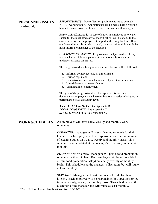# **PERSONNEL ISSUES**  (continued)

*APPOINTMENTS:* Doctor/dentist appointments are to be made AFTER working hours. Appointments can be made during working hours if there is no other choice. Discuss situation with manager.

**SNOW DAYS/DELAYS:** In case of snow, an employee is to watch (listen to) the local newscast to know if school will be open. In the case of a delay, the employee is to report at their regular time. If an employee thinks it is unsafe to travel, she may wait until it is safe, but must inform her manager of the situation

*DISCIPLINARY ACTION:* Employees are subject to disciplinary action when exhibiting a pattern of continuous misconduct or underperformance on the job.

The progressive discipline process, outlined below, will be followed.

- 1. Informal conferences and oral reprimand.
- 2. Written reprimand.
- 3. Evaluative conferences documented by written summaries.
- 4. Unsatisfactory written evaluation.
- 5. Termination of employment.

The goal of the progressive discipline approach is not only to document an employee's weaknesses, but to also assist in bringing her performance to a satisfactory level.

*ANNUAL LEAVE DAYS:* See Appendix B. *LOCAL LONGEVITY:*See Appendix C. *STATE LONGEVITY:* See Appendix C.

**WORK SCHEDULES** All employees will have daily, weekly and monthly work schedules.

> *CLEANING:* managers will post a cleaning schedule for their kitchen. Each employee will be responsible for a certain number of cleaning duties on a daily, weekly and monthly basis. This schedule is to be rotated at the manager's discretion, but at least monthly.

> *FOOD PREPARATION:* managers will post a food preparation schedule for their kitchen. Each employee will be responsible for certain food preparation task(s) on a daily, weekly or monthly basis. This schedule is at the manager's discretion, but will rotate at least monthly.

> *SERVING:* Managers will post a service schedule for their kitchen. Each employee will be responsible for a specific service tasks on a daily, weekly or monthly basis. This schedule is at the discretion of the manager, but will rotate at least monthly.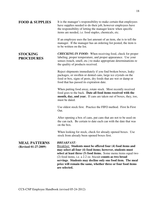| <b>FOOD &amp; SUPPLIES</b>                   | It is the manager's responsibility to make certain that employees<br>have supplies needed to do their job, however employees have<br>the responsibility of letting the manager know when specific<br>items are needed, i.e. food staples, chemicals, etc.                                                                                                                                                                       |
|----------------------------------------------|---------------------------------------------------------------------------------------------------------------------------------------------------------------------------------------------------------------------------------------------------------------------------------------------------------------------------------------------------------------------------------------------------------------------------------|
|                                              | If an employee uses the last amount of an item, she is to tell the<br>manager. If the manager has an ordering list posted, the item is<br>to be written on the list.                                                                                                                                                                                                                                                            |
| <b>STOCKING</b><br><b>PROCEDURES</b>         | <b>CHECKING IN FOOD:</b> When receiving food, check for proper<br>labeling, proper temperature, and proper appearance. Use your<br>senses (touch, smell, etc.) to make appropriate determinations re<br>the quality of products received.                                                                                                                                                                                       |
|                                              | Reject shipments immediately if you find broken boxes, leaky<br>packages, or swollen or dented cans, large ice crystals on the<br>food or box, signs of pests, dry foods that are wet or damp or<br>food that has passed its expiration date.                                                                                                                                                                                   |
|                                              | When putting food away, rotate stock. Most recently received<br>food goes to the back. Date all food items received with the<br>month, day, and year. If cans are taken out of boxes, they, too,<br>must be dated.                                                                                                                                                                                                              |
|                                              | Use oldest stock first. Practice the FIFO method. First In First<br>Out.                                                                                                                                                                                                                                                                                                                                                        |
|                                              | After opening a box of cans, put cans that are not to be used on<br>the can rack. Be certain to date each can with the date that was<br>on the box.                                                                                                                                                                                                                                                                             |
|                                              | When looking for stock, check for already opened boxes. Use<br>stock from already been opened boxes first.                                                                                                                                                                                                                                                                                                                      |
| <b>MEAL PATTERNS</b><br>(Revised 01-27-2009) | <b>BREAKFAST:</b><br>Breakfast: Students must be offered four (4) food items and<br>may select all four (4) food items; however, students must<br>select at least three (3) food items. Some menu items equal two<br>(2) food items, i.e. a 2.2 oz. biscuit counts as two bread<br>servings. Students may decline only one food item. The meal<br>price will remain the same, whether three or four food items<br>are selected. |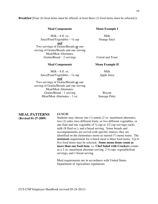**Breakfast** [Four (4) food items must be offered; at least three (3) food items must be selected.]**:**

| <b>Meal Components</b>                      | <b>Menu Example I</b>  |
|---------------------------------------------|------------------------|
| Milk $-8$ fl. oz.                           | Milk                   |
| Juice/Fruit/Vegetables $- \frac{1}{2}$ cup  | Orange Juice           |
| and                                         |                        |
| Two servings of Grains/Breads <i>or</i> one |                        |
| serving of Grains/Breads and one serving    |                        |
| <b>Meat/Meat Alternates:</b>                |                        |
| Grains/Bread $-2$ servings                  | Cereal and Toast       |
|                                             |                        |
| <b>Meal Components</b>                      | <b>Menu Example II</b> |
| Milk $-8$ fl. oz.                           | Milk                   |
| Juice/Fruit/Vegetables $- \frac{1}{2}$ cup  | Apple Juice            |
| and                                         |                        |
| Two servings of Grains/Breads <u>or</u> one |                        |
| serving of Grains/Breads and one serving    |                        |
| <b>Meat/Meat Alternates:</b>                |                        |
| Grains/Bread $-1$ serving                   | <b>Biscuit</b>         |

#### **MEAL PATTERNS (Revised 01-27-2009)**

#### *LUNCH:*

Students may choose one (1) entrée (2 oz. meat/meat alternate), two (2) sides (two different fruits, or two different vegetables, or one fruit and one vegetable of ¼ cup or 1/2 cup servings each), milk (8 fluid oz.), and a bread serving. Some breads and accompaniments are served with specific entrees; they are identified on the elementary menu as starred (\*) menu items. The *minimum* requirement for a lunch meal is three food items. Up to five food items may be selected. **Some menu items count as more than one food item**, i.e. **Chef Salad with Crackers** counts as a 2 oz. meat/meat alternate serving, 2 ¼ cups vegetable/fruit servings, and 1 bread serving.

Meal requirements are in accordance with United States Department of Agriculture regulations.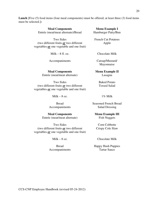**Lunch** [Five (5) food items (four meal components) must be offered; at least three (3) food items must be selected.]**:**

| <b>Meal Components</b>             |
|------------------------------------|
| Entrée (meat/meat alternate)/Bread |

Two Sides (two different fruits *or* two different vegetables *or* one vegetable and one fruit)

Milk –  $8$  fl. oz.

Accompaniments

**Meal Components Menu Example II** Entrée (meat/meat alternate)

Two Sides (two different fruits *or* two different vegetables *or* one vegetable and one fruit)

Milk –  $8$  oz.

Bread Accompaniments

**Meal Components Menu Example III** Entrée (meat/meat alternate)

Two Sides (two different fruits *or* two different vegetables *or* one vegetable and one fruit)

Milk –  $8$  oz.

Bread Accompaniments French Cut Potatoes

**Menu Example I** 

Hamburger Patty/Bun

Apple

Chocolate Milk

Catsup/Mustard/ Mayonnaise

Lasagna

Baked Potato Tossed Salad

1% Milk

Seasoned French Bread Salad Dressing

Fish Nuggets

Corn Cobbette Crispy Cole Slaw

Chocolate Milk

Happy Hush Puppies Tartar Sauce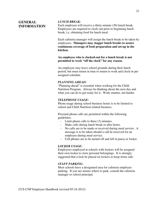# **GENERAL INFORMATION**

#### *LUNCH BREAK:*

Each employee will receive a thirty-minute (30) lunch break. Employees are required to clock-out prior to beginning lunch break, i.e. obtaining food for lunch meal.

Each cafeteria manager will assign the lunch break to be taken by employees. **Managers may stagger lunch breaks to assure continuous coverage of food preparation and set-up in the kitchen.**

**An employee who is clocked-out for a lunch break is not permitted to work "off the clock" for any reason.** 

An employee may leave school grounds during their lunch period, but must return in time to return to work and clock-in per assigned schedule.

#### *PLANNING AHEAD:*

"Planning ahead" is essential when working for the Child Nutrition Program. Always be thinking about the next day and what you can do to get ready for it. Work smarter, not harder.

#### *TELEPHONE USAGE:*

Phone usage during school business hours is to be limited to school and Child Nutrition related business.

Personal phone calls are permitted within the following guidelines:

- Limit phone calls to three (3) minutes.
- Make calls during lunch break or after hours.
- No calls are to be made or received during meal service. A message is to be taken should a call be received for an employee during meal service.
- Cell phones are to be turned off and left in purse or locker.

#### *LOCKER USAGE:*

Employees employed at schools with lockers will be assigned their own locker to store personal belongings. It is strongly suggested that a lock be placed on lockers to keep items safe.

#### *STAFF PARKING:*

Most schools have a designated area for cafeteria employee parking. If you are unsure where to park, consult the cafeteria manager or school principal.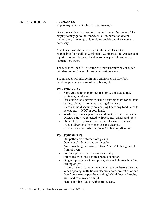# **SAFETY RULES** *ACCIDENTS:*

Report any accident to the cafeteria manager.

Once the accident has been reported to Human Resources. The employee may go to the Workman's Compensation doctor immediately or may go at later date should conditions make it necessary.

Accidents must also be reported to the school secretary responsible for handling Workman's Compensation. An accident report form must be completed as soon as possible and sent to Human Resources.

The manager (the CNP director or supervisor may be consulted) will determine if an employee may continue work.

The manager will instruct injured employees on safe food handling practices in case of cuts, burns, etc.

#### *TO AVOID CUTS:*

- Store cutting tools in proper rack or designated storage container, i.e. drawer.
- Use cutting tools properly, using a cutting board for all hand cutting, dicing, or mincing, cutting downward.
- Place and hold securely on a cutting board any food items to be cut, etc. - - NOT in your hand.
- Wash sharp tools separately and do not place in sink water.
- Discard defective (cracked, chipped, etc.) dishes and tools.
- Use an U.S.F. approved can opener; follow instruction manual directions for proper use and cleaning.
- Always use a cut-resistant glove for cleaning slicer, etc.

#### *TO AVOID BURNS:*

- Use potholders or terry cloth gloves.
- Open double-door ovens completely.
- Avoid reaching into ovens. Use a "puller" to bring pans to front of oven.
- Follow equipment instructions carefully.
- Stir foods with long handled paddle or spoon.
- On gas equipment without pilots, always light match before turning on gas.
- Allow all electrical or hot equipment to cool before cleaning.
- When opening kettle lids or steamer doors, protect arms and face from steam vapors by standing behind door or keeping arms and face away from lid.
- Handle boiling liquids with extreme care.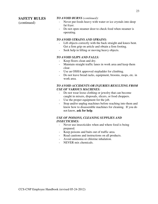### **SAFETY RULES**

(continued)

#### *TO AVOID BURNS (continued):*

- Never put foods heavy with water or ice crystals into deep fat fryer.
- Do not open steamer door to check food when steamer is operating.

#### *TO AVOID STRAINS AND SPRAINS:*

- Lift objects correctly with the back straight and knees bent. Get a firm grip on article and obtain a firm footing.
- Seek help in lifting or moving heavy objects.

### *TO AVOID SLIPS AND FALLS:*

- Keep floors clean and dry.
- Maintain straight traffic lanes in work area and keep them clear.
- Use an OSHA approved stepladder for climbing.
- Do not leave bread racks, equipment, brooms, mops, etc. in work area.

#### *TO AVOID ACCIDENTS OR INJURIES RESULTING FROM USE OF VARIOUS MACHINES:*

- Do not wear loose clothing or jewelry that can become caught in mixers, disposals, slicers, or food choppers.
- Use the proper equipment for the job.
- Stop and/or unplug machines before reaching into them and know how to disassemble machines for cleaning. If you do not know, **ask for help**.

### *USE OF POISONS, CLEANING SUPPLIES AND INSECTICIDES:*

- Never use insecticides when and where food is being prepared.
- Keep poisons and baits out of traffic area.
- Read cautions and instructions on all products.
- Avoid ammonia or chlorine inhalation.
- NEVER mix chemicals.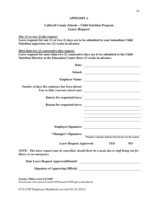#### **APPENDIX A**

### **Caldwell County Schools – Child Nutrition Program**  *Leave Request*

#### *One (1) or two (2) day request:*

**Leave requests for one (1) or two (2) days are to be submitted to your immediate Child Nutrition supervisor two (2) weeks in advance.** 

#### *More than two (2) consecutive days request:*

**Leave requests for more than two (2) consecutive days are to be submitted to the Child Nutrition Director at the Education Center three (3) weeks in advance.**

|                                | N <sub>O</sub>                                                                                                                                                                                         |
|--------------------------------|--------------------------------------------------------------------------------------------------------------------------------------------------------------------------------------------------------|
|                                |                                                                                                                                                                                                        |
|                                |                                                                                                                                                                                                        |
|                                |                                                                                                                                                                                                        |
|                                |                                                                                                                                                                                                        |
| <b>Leave Request Approved:</b> | *Manager's Signature:<br>*Manager's signature indicates that she has seen this request.<br><b>YES</b><br>NOTE: This leave request may be cancelled, should there be a need, due to staff being out for |

Word/Linda'sDocuments/Linda/CNPManuals/CNPEmployeeHandbook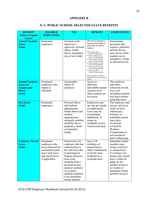#### **APPENDIX B**

# **N. C. PUBLIC SCHOOL SELECTED LEAVE BENEFITS**

| <b>BENEFIT</b>                                                                                | <b>ELIGIBLE</b>                                                                                                                   | <b>USE</b>                                                                                                                                                                                                                                                                | <b>BENEFIT</b>                                                                                                                                                                                                                                                                                                                                                                                                                                                                                | <b>LIMITATIONS</b>                                                                                                                                                                                                               |
|-----------------------------------------------------------------------------------------------|-----------------------------------------------------------------------------------------------------------------------------------|---------------------------------------------------------------------------------------------------------------------------------------------------------------------------------------------------------------------------------------------------------------------------|-----------------------------------------------------------------------------------------------------------------------------------------------------------------------------------------------------------------------------------------------------------------------------------------------------------------------------------------------------------------------------------------------------------------------------------------------------------------------------------------------|----------------------------------------------------------------------------------------------------------------------------------------------------------------------------------------------------------------------------------|
| (Paid or Unpaid                                                                               | <b>EMPLOYEES</b>                                                                                                                  |                                                                                                                                                                                                                                                                           |                                                                                                                                                                                                                                                                                                                                                                                                                                                                                               |                                                                                                                                                                                                                                  |
| Leave)<br><b>Annual Vacation</b><br><b>Leave</b><br>(Paid)                                    | Permanent<br>employees.                                                                                                           | Vacation (with<br>supervisor's<br>approval), personal<br>illness, family<br>illness, pregnancy,<br>care of new child.                                                                                                                                                     | The rate of earning is<br>based on the length of<br>total State service as<br>follows:<br>• Less than 2 years<br>(earn 1.00 day/month)<br>• 2 but less than 5 years<br>(earn 1.15 days/month)<br>• 5 but less than 10 years<br>(earn 1.40 days/month)<br>• 10 but less than 15 years<br>(earn 1.65 days/month)<br>• 15 but less than 20 years<br>(earn 1.90 days/month)<br>• 20 years or more<br>(earn 2.15 days/month)<br>Rate of earnings is based on<br>total State service (part-time pro | Instructional<br>personnel who<br>require a substitute<br>and bus drivers<br>may not use when<br>students are in<br>attendance, except<br>as allowed by law.                                                                     |
| <b>Annual Vacation</b><br><b>Leave for</b><br><b>Catastrophic</b><br><b>Illness</b><br>(Paid) | Permanent<br>employees who<br>require a<br>substitute.                                                                            | Catastrophic<br>illness of<br>employee.                                                                                                                                                                                                                                   | rated).<br>Access to<br>otherwise<br>unavailable annual<br>vacation leave<br>when students are<br>in session.                                                                                                                                                                                                                                                                                                                                                                                 | The employee<br>must have<br>exhausted all sick<br>leave (not<br>including extended<br>sick leave) before<br>using this leave.                                                                                                   |
| <b>Sick Leave</b><br>(Paid)                                                                   | Permanent<br>employees.                                                                                                           | Personal illness<br>and medical<br>appointments,<br>family illness and<br>medical<br>appointments,<br>medically certified<br>disability due to<br>pregnancy, death<br>in immediate<br>family.                                                                             | Employees earn<br>one day per month<br>of employment.<br>Leave may be<br>accumulated<br>indefinitely. It<br>counts as<br>creditable service<br>toward retirement.                                                                                                                                                                                                                                                                                                                             | The employee may<br>not use sick leave<br>while on leave<br>without pay,<br>holidays, or<br>scheduled annual<br>leave days.<br>An absence<br>covered by<br>Workers'<br>Compensation is<br>not considered<br>leave without pay.   |
| <b>Voluntary Shared</b><br><b>Leave</b><br>(Paid)                                             | Permanent<br>employees who<br>have exhausted all<br>accumulated paid<br>leave (sick leave<br>and annual leave,<br>if applicable). | Extend leave for<br>employee who has<br>exhausted his or<br>her own leave due<br>to prolonged or<br>frequent absences<br>from work<br>resulting from a<br>personal serious<br>medical condition<br>or a serious<br>medical condition<br>of an immediate<br>family member. | Up to 130<br>workdays of<br>donated leave,<br>either continuously<br>or for the same<br>condition on a<br>recurring basis.                                                                                                                                                                                                                                                                                                                                                                    | Immediate family<br>members may<br>donate sick leave<br>or annual leave.<br>Co-workers can<br>donate only annual<br>leave. Limits do<br>apply on the<br>number of days a<br>co-worker or<br>immediate family<br>member can give. |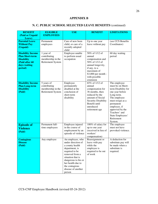#### **APPENDIX B**

# **N. C. PUBLIC SCHOOL SELECTED LEAVE BENEFITS** (continued)

| <b>BENEFIT</b>                              | <b>ELIGIBLE</b>   | <b>USE</b>                               | <b>BENEFIT</b>                       | <b>LIMITATIONS</b>                     |
|---------------------------------------------|-------------------|------------------------------------------|--------------------------------------|----------------------------------------|
| (Paid or Unpaid                             | <b>EMPLOYEES</b>  |                                          |                                      |                                        |
| Leave)                                      |                   |                                          |                                      |                                        |
| <b>Parental Leave</b><br><b>Without Pay</b> | Permanent         | Care of new born<br>child, or care of a  | Up to one year                       | (see CCS Benefits<br>Coordinator)      |
| (Unpaid)                                    | employees         | recently adopted                         | leave without pay                    |                                        |
|                                             |                   | child                                    |                                      |                                        |
| <b>Disability Income</b>                    | 1 year of         | Employee unable                          | 50% of 1/12 of                       | 60 day waiting                         |
| <b>Plan Short-term</b>                      | contributing      | to perform usual                         | annual                               | period                                 |
| <b>Disability</b>                           | membership in the | occupation                               | compensation and<br>50% of 1/12 of   |                                        |
| (Paid after 60<br>days waiting              | Retirement System |                                          | annual longevity,                    |                                        |
| period)                                     |                   |                                          | if any, to a                         |                                        |
|                                             |                   |                                          | maximum of                           |                                        |
|                                             |                   |                                          | \$3,000 per month -                  |                                        |
|                                             |                   |                                          | with possible                        |                                        |
| <b>Disability Income</b>                    | 5 years of        | Employee                                 | extension<br>65% of 1/12 of          | The employee                           |
| <b>Plan Long-term</b>                       | contributing      | permanently                              | annual                               | must be on Short-                      |
| <b>Disability</b>                           | membership in the | disabled at the                          | compensation for                     | term Disability for                    |
| (Paid)                                      | Retirement System | conclusion of                            | 36 months, then                      | one year before                        |
|                                             |                   | short-term                               | reduced by the                       | Long-term.                             |
|                                             |                   | disability                               | amount of Social                     | The employee                           |
|                                             |                   |                                          | Security Disability<br>Benefit until | must resign as a<br>permanent          |
|                                             |                   |                                          | unreduced                            | employee, if                           |
|                                             |                   |                                          | retirement age                       | approved by the                        |
|                                             |                   |                                          |                                      | Teachers' and                          |
|                                             |                   |                                          |                                      | State Employees'                       |
|                                             |                   |                                          |                                      | Retirement                             |
| <b>Episode of</b>                           | Permanent full-   | Employee injured                         | 100% of salary for                   | System.<br>The employee                |
| <b>Violence</b>                             | time employees    | in the course of                         | up to one year                       | must not have                          |
| (Paid)                                      |                   | employment by an                         | (received in lieu of                 | provoked violence.                     |
|                                             |                   | episode of violence                      | workers'                             |                                        |
|                                             |                   |                                          | compensation)                        |                                        |
| <b>Contagious</b><br><b>Disease</b>         | Any employee      | An employee, who<br>under direction of   | Reassignment or<br>leave with pay    | A deduction for<br>substitute pay will |
| (Paid)                                      |                   | a county health                          | while the                            | be made when a                         |
|                                             |                   | department, is                           | employee is                          | substitute is                          |
|                                             |                   | required to be                           | required to be out                   | required.                              |
|                                             |                   | removed from a                           | of work                              |                                        |
|                                             |                   | situation that is                        |                                      |                                        |
|                                             |                   | dangerous to his or<br>her health due to |                                      |                                        |
|                                             |                   | the contagious                           |                                      |                                        |
|                                             |                   | disease of another                       |                                      |                                        |
|                                             |                   | person                                   |                                      |                                        |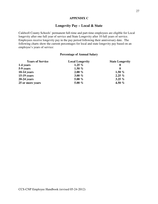## **APPENDIX C**

# **Longevity Pay – Local & State**

Caldwell County Schools' permanent full-time and part-time employees are eligible for Local longevity after one full year of service and State Longevity after 10 full years of service. Employees receive longevity pay in the pay period following their anniversary date. The following charts show the current percentages for local and state longevity pay based on an employee's years of service:

#### **Percentage of Annual Salary**

| <b>Years of Service</b> | <b>Local Longevity</b> | <b>State Longevity</b> |
|-------------------------|------------------------|------------------------|
| 1-4 years               | 1.25 $%$               | $\bf{0}$               |
| 5-9 years               | 1.50 $%$               | $\mathbf 0$            |
| $10-14$ years           | $2.00\%$               | 1.50 $%$               |
| $15-19$ years           | 3.00 $%$               | $2.25\%$               |
| $20-24$ years           | 5.00 $%$               | 3.25 $%$               |
| 25 or more years        | 5.00 $%$               | 4.50 $%$               |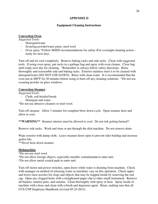### **APPENDIX D**

### **Equipment Cleaning Instructions**

### **Convection Oven**

*Suggested Tools:* 

- Detergent/water
- Scouring powder/water paste, steel wool
- Oven spray \*Follow MSDS recommendations for safety (For overnight cleaning action ready for next day).

Turn off and let cool completely. Remove baking racks and side racks. Clean with suggested tools. If using oven spray, put racks in a garbage bag and spray with oven cleaner. Close bag until ready next day for cleaning. \*Remember to always follow safety directions. Rinse thoroughly and reassemble side and baking racks. Exterior stainless steel is to be cleaned with detergent/water (DO NOT USE DAWN). Rinse with clean water. It is recommended that the oven run at 400°F for 20 minutes before using to burn off any cleaning solutions. \*Do not use scouring powder on glass windows.

# **Convection Steamer**

*Suggested Tools:* 

- Cloth, soft bristled brush
- Detergent and water

\*Do not use abrasive cleaners or steel wool.

Turn off steamer. Allow 3 minutes for complete blow down cycle. Open steamer door and allow to cool.

**\*\*WARNING\*\*** Steamer interior must be allowed to cool. Do not risk getting burned!!

Remove side racks. Wash and rinse or put through the dish machine. Do not remove drain

Wipe exterior with damp cloth. Leave steamer doors open to prevent odor buildup and increase gasket life.

\*\*Never hose down steamer.

### **Dishmachine**

\*Do not use steel wool.

- \*Do not allow foreign objects, especially metallic contaminant**s** to enter unit.
- \*Do not allow metal scratch pads to enter unit.

CCS-CNP Employee Handbook (revised 05-24-2012) Turn off motor and power switches, open doors while water is draining from machine. Check with manager on method of releasing water as machines vary on this operation. Check upper and lower rinse nozzles for clogs and objects that may be trapped inside by removing the end cap. Open any clogged holes with a straightened paper clip or other small instrument. Remove all baskets, strainer pans, and curtains. Clean thoroughly with spray or hose. Spray inside of machine with a hose and clean with a brush and degreaser agent. Rinse, making sure that all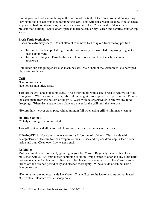food is gone and not accumulating in the bottom of the tank. Clean area around drain openings, leaving no food or deposits around rubber gaskets. This will cause water leakage, if not cleaned. Replace all baskets, strain pans, curtains, and rinse nozzles. Clean inside of doors daily to prevent food buildup. Leave doors open so machine can air dry. Clean and sanitize counter-top areas.

#### **Fresh Fruit Sectionizer**

Blades are extremely sharp. Do not attempt to remove by lifting out from the top position.

- To remove blade cup: Lifting from the bottom only, remove blade cup using fingers to push cup upward.
- To remove plunger: Turn double set of knobs located on top of machine counter clockwise.

Both blade cup and plunger are dish machine safe. Main shell of the sectionizer is to be wiped clean after each use.

# **Grill**

\*Do not use water. \*Do not use non-stick spray.

Turn off the grill and cool completely. Brush thoroughly with a steel brush to remove all food from grates. When clean, wipe vegetable oil on the grates to help with rust prevention. Remove the catch plate from the bottom of the grill. Wash with detergent/water to remove any food droppings. When dry, use the catch plate as a cover for the grill until the next use.

\*Helpful hint – cover catch plate with aluminum foil when using grill to minimize clean up.

#### **Holding Cabinet**

\*\*Daily cleaning is recommended.

Turn off cabinet and allow to cool. Unscrew drain cap and let water drain out.

**\*\*DANGER\*\*** Hot water is in evaporator tank (bottom of cabinet). Clean inside with detergent/water. Be sure to clean evaporator tank. Rinse and replace drain cap. Clean doors; inside and out. Clean over-flow water trench.

#### **Ice Maker**

Mold and mildew are constantly growing in your Ice Maker. Regularly clean with a cloth moistened with 50-100 ppm bleach sanitizing solution. Wipe inside of door and any other parts that are available for cleaning. Filters are to be cleaned on a regular basis. Ice Maker is to be turned off and drained periodically and cleaned thoroughly. Wipe outside of cabinet using detergent/water.

\*Do not allow any objects inside Ice Maker. This will cause the ice to become contaminated. \*Use a clean, standardized ice scoop only.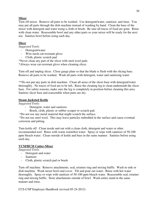# **Mixer**

Turn off mixer. Remove all parts to be washed. Use detergent/water, sanitizer, and rinse. You may put all parts through the dish machine instead of washing by hand. Clean the base of the mixer with detergent and water using a cloth or brush. Be sure all traces of food are gone. Rinse with clean water. Reassemble bowl and any other parts so your mixer will be ready for the next use. Sanitize bowl before using each day.

# **Slicer**

*Suggested Tools:* 

- Detergent/water
- Wire mesh cut-resistant glove
- Cloth, plastic scratch pad

\*Never clean any part of the slicer with steel wool pads.

\*Always wear cut-resistant glove when cleaning slicer.

Turn off and unplug slicer. Close gauge plate so that the blade is flush with the slicing base. Remove all parts to be washed. Wash all parts with detergent, water and sanitizing water.

\*\*Do not put any parts in dish machine. Clean all areas of the slicer base with detergent/water thoroughly. No traces of food are to be left. Raise the cleaning leg to clean underneath the slicer base. For safety reasons, make sure the leg is completely in position before cleaning this area. Sanitize slicer base and reassemble when parts are dry.

# **Steam Jacketed Kettle**

*Suggested Tools:* 

- Detergent, water and sanitizer.
- Brush, cloth, plastic or rubber scraper or scratch pad.
- \*Do not use any metal material that might scratch the surface.

 \*Do not use steel wool. This may leave particles imbedded in the surface and cause eventual corrosion and pitting.

Turn kettle off. Clean inside and out with a clean cloth, detergent and water or other recommended tool. Rinse with warm warm/hot water. Spray or wipe with sanitizer of 50-100 ppm bleach water. Clean outside of kettle and base in the same manner. Sanitize before using each day.

# **VCM/HCM Cutter-Mixer**

*Suggested Tools:* 

- Detergent and water
- Sanitizer
- Cloth, plastic scratch pad or brush

Turn off machine. Remove attachments, seal, retainer ring and mixing baffle. Wash in sink or dish machine. Wash mixer bowl and cover. Tilt and pour out water. Rinse with hot water thoroughly. Spray or wipe with sanitizer of 50-100 ppm bleach water. Reassemble seal, retainer ring and mixing baffle. Store attachments outside of bowl. Wash entire stand in the same manner and rinse.